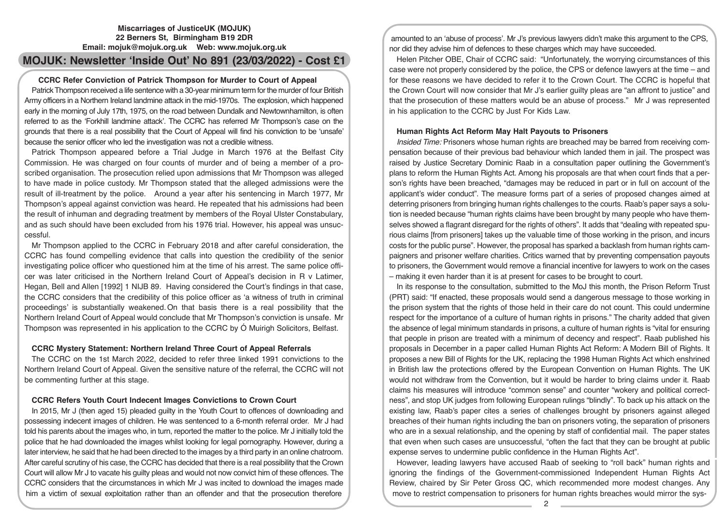## **Miscarriages of JusticeUK (MOJUK) 22 Berners St, Birmingham B19 2DR Email: mojuk@mojuk.org.uk Web: www.mojuk.org.uk**

# **MOJUK: Newsletter 'Inside Out' No 891 (23/03/2022) - Cost £1**

# **CCRC Refer Conviction of Patrick Thompson for Murder to Court of Appeal**

Patrick Thompson received a life sentence with a 30-year minimum term for the murder of four British Army officers in a Northern Ireland landmine attack in the mid-1970s. The explosion, which happened early in the morning of July 17th, 1975, on the road between Dundalk and Newtownhamilton, is often referred to as the 'Forkhill landmine attack'. The CCRC has referred Mr Thompson's case on the grounds that there is a real possibility that the Court of Appeal will find his conviction to be 'unsafe' because the senior officer who led the investigation was not a credible witness.

Patrick Thompson appeared before a Trial Judge in March 1976 at the Belfast City Commission. He was charged on four counts of murder and of being a member of a proscribed organisation. The prosecution relied upon admissions that Mr Thompson was alleged to have made in police custody. Mr Thompson stated that the alleged admissions were the result of ill-treatment by the police. Around a year after his sentencing in March 1977, Mr Thompson's appeal against conviction was heard. He repeated that his admissions had been the result of inhuman and degrading treatment by members of the Royal Ulster Constabulary, and as such should have been excluded from his 1976 trial. However, his appeal was unsuccessful.

Mr Thompson applied to the CCRC in February 2018 and after careful consideration, the CCRC has found compelling evidence that calls into question the credibility of the senior investigating police officer who questioned him at the time of his arrest. The same police officer was later criticised in the Northern Ireland Court of Appeal's decision in R v Latimer, Hegan, Bell and Allen [1992] 1 NIJB 89. Having considered the Court's findings in that case, the CCRC considers that the credibility of this police officer as 'a witness of truth in criminal proceedings' is substantially weakened.On that basis there is a real possibility that the Northern Ireland Court of Appeal would conclude that Mr Thompson's conviction is unsafe. Mr Thompson was represented in his application to the CCRC by Ó Muirigh Solicitors, Belfast.

## **CCRC Mystery Statement: Northern Ireland Three Court of Appeal Referrals**

The CCRC on the 1st March 2022, decided to refer three linked 1991 convictions to the Northern Ireland Court of Appeal. Given the sensitive nature of the referral, the CCRC will not be commenting further at this stage.

# **CCRC Refers Youth Court Indecent Images Convictions to Crown Court**

In 2015, Mr J (then aged 15) pleaded guilty in the Youth Court to offences of downloading and possessing indecent images of children. He was sentenced to a 6-month referral order. Mr J had told his parents about the images who, in turn, reported the matter to the police. Mr J initially told the police that he had downloaded the images whilst looking for legal pornography. However, during a later interview, he said that he had been directed to the images by a third party in an online chatroom. After careful scrutiny of his case, the CCRC has decided that there is a real possibility that the Crown Court will allow Mr J to vacate his guilty pleas and would not now convict him of these offences. The CCRC considers that the circumstances in which Mr J was incited to download the images made him a victim of sexual exploitation rather than an offender and that the prosecution therefore

amounted to an 'abuse of process'. Mr J's previous lawyers didn't make this argument to the CPS, nor did they advise him of defences to these charges which may have succeeded.

Helen Pitcher OBE, Chair of CCRC said:   "Unfortunately, the worrying circumstances of this case were not properly considered by the police, the CPS or defence lawyers at the time – and for these reasons we have decided to refer it to the Crown Court. The CCRC is hopeful that the Crown Court will now consider that Mr J's earlier guilty pleas are "an affront to justice" and that the prosecution of these matters would be an abuse of process." Mr J was represented in his application to the CCRC by Just For Kids Law.

# **Human Rights Act Reform May Halt Payouts to Prisoners**

*Insided Time:* Prisoners whose human rights are breached may be barred from receiving compensation because of their previous bad behaviour which landed them in jail. The prospect was raised by Justice Secretary Dominic Raab in a consultation paper outlining the Government's plans to reform the Human Rights Act. Among his proposals are that when court finds that a person's rights have been breached, "damages may be reduced in part or in full on account of the applicant's wider conduct". The measure forms part of a series of proposed changes aimed at deterring prisoners from bringing human rights challenges to the courts. Raab's paper says a solution is needed because "human rights claims have been brought by many people who have themselves showed a flagrant disregard for the rights of others". It adds that "dealing with repeated spurious claims [from prisoners] takes up the valuable time of those working in the prison, and incurs costs for the public purse". However, the proposal has sparked a backlash from human rights campaigners and prisoner welfare charities. Critics warned that by preventing compensation payouts to prisoners, the Government would remove a financial incentive for lawyers to work on the cases – making it even harder than it is at present for cases to be brought to court.

In its response to the consultation, submitted to the MoJ this month, the Prison Reform Trust (PRT) said: "If enacted, these proposals would send a dangerous message to those working in the prison system that the rights of those held in their care do not count. This could undermine respect for the importance of a culture of human rights in prisons." The charity added that given the absence of legal minimum standards in prisons, a culture of human rights is "vital for ensuring that people in prison are treated with a minimum of decency and respect". Raab published his proposals in December in a paper called Human Rights Act Reform: A Modern Bill of Rights. It proposes a new Bill of Rights for the UK, replacing the 1998 Human Rights Act which enshrined in British law the protections offered by the European Convention on Human Rights. The UK would not withdraw from the Convention, but it would be harder to bring claims under it. Raab claims his measures will introduce "common sense" and counter "wokery and political correctness", and stop UK judges from following European rulings "blindly". To back up his attack on the existing law, Raab's paper cites a series of challenges brought by prisoners against alleged breaches of their human rights including the ban on prisoners voting, the separation of prisoners who are in a sexual relationship, and the opening by staff of confidential mail. The paper states that even when such cases are unsuccessful, "often the fact that they can be brought at public expense serves to undermine public confidence in the Human Rights Act".

However, leading lawyers have accused Raab of seeking to "roll back" human rights and ignoring the findings of the Government-commissioned Independent Human Rights Act Review, chaired by Sir Peter Gross QC, which recommended more modest changes. Any move to restrict compensation to prisoners for human rights breaches would mirror the sys-

2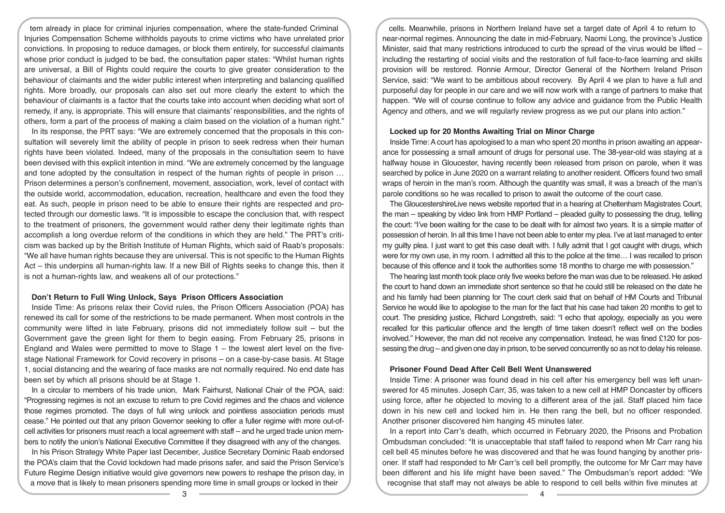tem already in place for criminal injuries compensation, where the state-funded Criminal Injuries Compensation Scheme withholds payouts to crime victims who have unrelated prior convictions. In proposing to reduce damages, or block them entirely, for successful claimants whose prior conduct is judged to be bad, the consultation paper states: "Whilst human rights are universal, a Bill of Rights could require the courts to give greater consideration to the behaviour of claimants and the wider public interest when interpreting and balancing qualified rights. More broadly, our proposals can also set out more clearly the extent to which the behaviour of claimants is a factor that the courts take into account when deciding what sort of remedy, if any, is appropriate. This will ensure that claimants' responsibilities, and the rights of others, form a part of the process of making a claim based on the violation of a human right."

In its response, the PRT says: "We are extremely concerned that the proposals in this consultation will severely limit the ability of people in prison to seek redress when their human rights have been violated. Indeed, many of the proposals in the consultation seem to have been devised with this explicit intention in mind. "We are extremely concerned by the language and tone adopted by the consultation in respect of the human rights of people in prison … Prison determines a person's confinement, movement, association, work, level of contact with the outside world, accommodation, education, recreation, healthcare and even the food they eat. As such, people in prison need to be able to ensure their rights are respected and protected through our domestic laws. "It is impossible to escape the conclusion that, with respect to the treatment of prisoners, the government would rather deny their legitimate rights than accomplish a long overdue reform of the conditions in which they are held." The PRT's criticism was backed up by the British Institute of Human Rights, which said of Raab's proposals: "We all have human rights because they are universal. This is not specific to the Human Rights Act – this underpins all human-rights law. If a new Bill of Rights seeks to change this, then it is not a human-rights law, and weakens all of our protections."

# **Don't Return to Full Wing Unlock, Says Prison Officers Association**

Inside Time: As prisons relax their Covid rules, the Prison Officers Association (POA) has renewed its call for some of the restrictions to be made permanent. When most controls in the community were lifted in late February, prisons did not immediately follow suit – but the Government gave the green light for them to begin easing. From February 25, prisons in England and Wales were permitted to move to Stage 1 – the lowest alert level on the fivestage National Framework for Covid recovery in prisons – on a case-by-case basis. At Stage 1, social distancing and the wearing of face masks are not normally required. No end date has been set by which all prisons should be at Stage 1.

In a circular to members of his trade union, Mark Fairhurst, National Chair of the POA, said: "Progressing regimes is not an excuse to return to pre Covid regimes and the chaos and violence those regimes promoted. The days of full wing unlock and pointless association periods must cease." He pointed out that any prison Governor seeking to offer a fuller regime with more out-ofcell activities for prisoners must reach a local agreement with staff – and he urged trade union members to notify the union's National Executive Committee if they disagreed with any of the changes.

In his Prison Strategy White Paper last December, Justice Secretary Dominic Raab endorsed the POA's claim that the Covid lockdown had made prisons safer, and said the Prison Service's Future Regime Design initiative would give governors new powers to reshape the prison day, in a move that is likely to mean prisoners spending more time in small groups or locked in their

cells. Meanwhile, prisons in Northern Ireland have set a target date of April 4 to return to near-normal regimes. Announcing the date in mid-February, Naomi Long, the province's Justice Minister, said that many restrictions introduced to curb the spread of the virus would be lifted including the restarting of social visits and the restoration of full face-to-face learning and skills provision will be restored. Ronnie Armour, Director General of the Northern Ireland Prison Service, said: "We want to be ambitious about recovery. By April 4 we plan to have a full and purposeful day for people in our care and we will now work with a range of partners to make that happen. "We will of course continue to follow any advice and guidance from the Public Health Agency and others, and we will regularly review progress as we put our plans into action."

### **Locked up for 20 Months Awaiting Trial on Minor Charge**

Inside Time: A court has apologised to a man who spent 20 months in prison awaiting an appearance for possessing a small amount of drugs for personal use. The 38-year-old was staying at a halfway house in Gloucester, having recently been released from prison on parole, when it was searched by police in June 2020 on a warrant relating to another resident. Officers found two small wraps of heroin in the man's room. Although the quantity was small, it was a breach of the man's parole conditions so he was recalled to prison to await the outcome of the court case.

The GloucestershireLive news website reported that in a hearing at Cheltenham Magistrates Court, the man – speaking by video link from HMP Portland – pleaded guilty to possessing the drug, telling the court: "I've been waiting for the case to be dealt with for almost two years. It is a simple matter of possession of heroin. In all this time I have not been able to enter my plea. I've at last managed to enter my guilty plea. I just want to get this case dealt with. I fully admit that I got caught with drugs, which were for my own use, in my room. I admitted all this to the police at the time… I was recalled to prison because of this offence and it took the authorities some 18 months to charge me with possession."

The hearing last month took place only five weeks before the man was due to be released. He asked the court to hand down an immediate short sentence so that he could still be released on the date he and his family had been planning for The court clerk said that on behalf of HM Courts and Tribunal Service he would like to apologise to the man for the fact that his case had taken 20 months to get to court. The presiding justice, Richard Longstreth, said: "I echo that apology, especially as you were recalled for this particular offence and the length of time taken doesn't reflect well on the bodies involved." However, the man did not receive any compensation. Instead, he was fined £120 for possessing the drug – and given one day in prison, to be served concurrently so as not to delay his release.

## **Prisoner Found Dead After Cell Bell Went Unanswered**

Inside Time: A prisoner was found dead in his cell after his emergency bell was left unanswered for 45 minutes. Joseph Carr, 35, was taken to a new cell at HMP Doncaster by officers using force, after he objected to moving to a different area of the jail. Staff placed him face down in his new cell and locked him in. He then rang the bell, but no officer responded. Another prisoner discovered him hanging 45 minutes later.

In a report into Carr's death, which occurred in February 2020, the Prisons and Probation Ombudsman concluded: "It is unacceptable that staff failed to respond when Mr Carr rang his cell bell 45 minutes before he was discovered and that he was found hanging by another prisoner. If staff had responded to Mr Carr's cell bell promptly, the outcome for Mr Carr may have been different and his life might have been saved." The Ombudsman's report added: "We recognise that staff may not always be able to respond to cell bells within five minutes at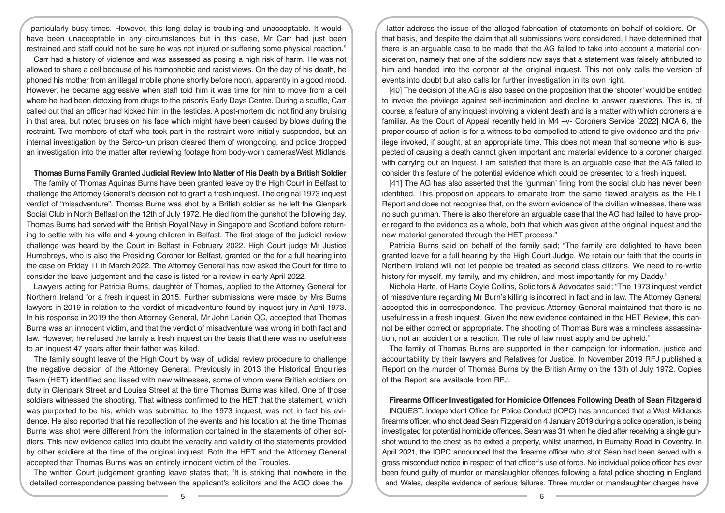particularly busy times. However, this long delay is troubling and unacceptable. It would have been unacceptable in any circumstances but in this case, Mr Carr had just been restrained and staff could not be sure he was not injured or suffering some physical reaction."

Carr had a history of violence and was assessed as posing a high risk of harm. He was not allowed to share a cell because of his homophobic and racist views. On the day of his death, he phoned his mother from an illegal mobile phone shortly before noon, apparently in a good mood. However, he became aggressive when staff told him it was time for him to move from a cell where he had been detoxing from drugs to the prison's Early Days Centre. During a scuffle, Carr called out that an officer had kicked him in the testicles. A post-mortem did not find any bruising in that area, but noted bruises on his face which might have been caused by blows during the restraint. Two members of staff who took part in the restraint were initially suspended, but an internal investigation by the Serco-run prison cleared them of wrongdoing, and police dropped an investigation into the matter after reviewing footage from body-worn camerasWest Midlands

#### **Thomas Burns Family Granted Judicial Review Into Matter of His Death by a British Soldier**

The family of Thomas Aquinas Burns have been granted leave by the High Court in Belfast to challenge the Attorney General's decision not to grant a fresh inquest. The original 1973 inquest verdict of "misadventure". Thomas Burns was shot by a British soldier as he left the Glenpark Social Club in North Belfast on the 12th of July 1972. He died from the gunshot the following day. Thomas Burns had served with the British Royal Navy in Singapore and Scotland before returning to settle with his wife and 4 young children in Belfast. The first stage of the judicial review challenge was heard by the Court in Belfast in February 2022. High Court judge Mr Justice Humphreys, who is also the Presiding Coroner for Belfast, granted on the for a full hearing into the case on Friday 11 th March 2022. The Attorney General has now asked the Court for time to consider the leave judgement and the case is listed for a review in early April 2022.

Lawyers acting for Patricia Burns, daughter of Thomas, applied to the Attorney General for Northern Ireland for a fresh inquest in 2015. Further submissions were made by Mrs Burns lawyers in 2019 in relation to the verdict of misadventure found by inquest jury in April 1973. In his response in 2019 the then Attorney General, Mr John Larkin QC, accepted that Thomas Burns was an innocent victim, and that the verdict of misadventure was wrong in both fact and law. However, he refused the family a fresh inquest on the basis that there was no usefulness to an inquest 47 years after their father was killed.

The family sought leave of the High Court by way of judicial review procedure to challenge the negative decision of the Attorney General. Previously in 2013 the Historical Enquiries Team (HET) identified and liased with new witnesses, some of whom were British soldiers on duty in Glenpark Street and Louisa Street at the time Thomas Burns was killed. One of those soldiers witnessed the shooting. That witness confirmed to the HET that the statement, which was purported to be his, which was submitted to the 1973 inquest, was not in fact his evidence. He also reported that his recollection of the events and his location at the time Thomas Burns was shot were different from the information contained in the statements of other soldiers. This new evidence called into doubt the veracity and validity of the statements provided by other soldiers at the time of the original inquest. Both the HET and the Attorney General accepted that Thomas Burns was an entirely innocent victim of the Troubles.

The written Court judgement granting leave states that; "It is striking that nowhere in the detailed correspondence passing between the applicant's solicitors and the AGO does the

latter address the issue of the alleged fabrication of statements on behalf of soldiers. On that basis, and despite the claim that all submissions were considered, I have determined that there is an arguable case to be made that the AG failed to take into account a material consideration, namely that one of the soldiers now says that a statement was falsely attributed to him and handed into the coroner at the original inquest. This not only calls the version of events into doubt but also calls for further investigation in its own right.

[40] The decision of the AG is also based on the proposition that the 'shooter' would be entitled to invoke the privilege against self-incrimination and decline to answer questions. This is, of course, a feature of any inquest involving a violent death and is a matter with which coroners are familiar. As the Court of Appeal recently held in M4 -v- Coroners Service [2022] NICA 6, the proper course of action is for a witness to be compelled to attend to give evidence and the privilege invoked, if sought, at an appropriate time. This does not mean that someone who is suspected of causing a death cannot given important and material evidence to a coroner charged with carrying out an inquest. I am satisfied that there is an arguable case that the AG failed to consider this feature of the potential evidence which could be presented to a fresh inquest.

[41] The AG has also asserted that the 'gunman' firing from the social club has never been identified. This proposition appears to emanate from the same flawed analysis as the HET Report and does not recognise that, on the sworn evidence of the civilian witnesses, there was no such gunman. There is also therefore an arguable case that the AG had failed to have proper regard to the evidence as a whole, both that which was given at the original inquest and the new material generated through the HET process."

Patricia Burns said on behalf of the family said; "The family are delighted to have been granted leave for a full hearing by the High Court Judge. We retain our faith that the courts in Northern Ireland will not let people be treated as second class citizens. We need to re-write history for myself, my family, and my children, and most importantly for my Daddy."

Nichola Harte, of Harte Coyle Collins, Solicitors & Advocates said; "The 1973 inquest verdict of misadventure regarding Mr Burn's killing is incorrect in fact and in law. The Attorney General accepted this in correspondence. The previous Attorney General maintained that there is no usefulness in a fresh inquest. Given the new evidence contained in the HET Review, this cannot be either correct or appropriate. The shooting of Thomas Burs was a mindless assassination, not an accident or a reaction. The rule of law must apply and be upheld."

The family of Thomas Burns are supported in their campaign for information, justice and accountability by their lawyers and Relatives for Justice. In November 2019 RFJ published a Report on the murder of Thomas Burns by the British Army on the 13th of July 1972. Copies of the Report are available from RFJ.

## **Firearms Officer Investigated for Homicide Offences Following Death of Sean Fitzgerald**

INQUEST: Independent Office for Police Conduct (IOPC) has announced that a West Midlands firearms officer, who shot dead Sean Fitzgerald on 4 January 2019 during a police operation, is being investigated for potential homicide offences. Sean was 31 when he died after receiving a single gunshot wound to the chest as he exited a property, whilst unarmed, in Burnaby Road in Coventry. In April 2021, the IOPC announced that the firearms officer who shot Sean had been served with a gross misconduct notice in respect of that officer's use of force. No individual police officer has ever been found guilty of murder or manslaughter offences following a fatal police shooting in England and Wales, despite evidence of serious failures. Three murder or manslaughter charges have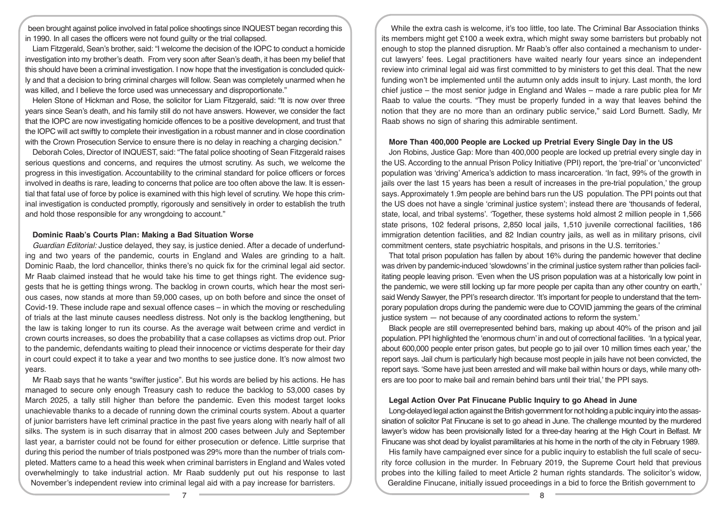been brought against police involved in fatal police shootings since INQUEST began recording this in 1990. In all cases the officers were not found guilty or the trial collapsed.

Liam Fitzgerald, Sean's brother, said: "I welcome the decision of the IOPC to conduct a homicide investigation into my brother's death. From very soon after Sean's death, it has been my belief that this should have been a criminal investigation. I now hope that the investigation is concluded quickly and that a decision to bring criminal charges will follow. Sean was completely unarmed when he was killed, and I believe the force used was unnecessary and disproportionate."

Helen Stone of Hickman and Rose, the solicitor for Liam Fitzgerald, said: "It is now over three years since Sean's death, and his family still do not have answers. However, we consider the fact that the IOPC are now investigating homicide offences to be a positive development, and trust that the IOPC will act swiftly to complete their investigation in a robust manner and in close coordination with the Crown Prosecution Service to ensure there is no delay in reaching a charging decision."

Deborah Coles, Director of INQUEST, said: "The fatal police shooting of Sean Fitzgerald raises serious questions and concerns, and requires the utmost scrutiny. As such, we welcome the progress in this investigation. Accountability to the criminal standard for police officers or forces involved in deaths is rare, leading to concerns that police are too often above the law. It is essential that fatal use of force by police is examined with this high level of scrutiny. We hope this criminal investigation is conducted promptly, rigorously and sensitively in order to establish the truth and hold those responsible for any wrongdoing to account."

## **Dominic Raab's Courts Plan: Making a Bad Situation Worse**

*Guardian Editorial:* Justice delayed, they say, is justice denied. After a decade of underfunding and two years of the pandemic, courts in England and Wales are grinding to a halt. Dominic Raab, the lord chancellor, thinks there's no quick fix for the criminal legal aid sector. Mr Raab claimed instead that he would take his time to get things right. The evidence suggests that he is getting things wrong. The backlog in crown courts, which hear the most serious cases, now stands at more than 59,000 cases, up on both before and since the onset of Covid-19. These include rape and sexual offence cases – in which the moving or rescheduling of trials at the last minute causes needless distress. Not only is the backlog lengthening, but the law is taking longer to run its course. As the average wait between crime and verdict in crown courts increases, so does the probability that a case collapses as victims drop out. Prior to the pandemic, defendants waiting to plead their innocence or victims desperate for their day in court could expect it to take a year and two months to see justice done. It's now almost two years.

Mr Raab says that he wants "swifter justice". But his words are belied by his actions. He has managed to secure only enough Treasury cash to reduce the backlog to 53,000 cases by March 2025, a tally still higher than before the pandemic. Even this modest target looks unachievable thanks to a decade of running down the criminal courts system. About a quarter of junior barristers have left criminal practice in the past five years along with nearly half of all silks. The system is in such disarray that in almost 200 cases between July and September last year, a barrister could not be found for either prosecution or defence. Little surprise that during this period the number of trials postponed was 29% more than the number of trials completed. Matters came to a head this week when criminal barristers in England and Wales voted overwhelmingly to take industrial action. Mr Raab suddenly put out his response to last November's independent review into criminal legal aid with a pay increase for barristers.

While the extra cash is welcome, it's too little, too late. The Criminal Bar Association thinks its members might get £100 a week extra, which might sway some barristers but probably not enough to stop the planned disruption. Mr Raab's offer also contained a mechanism to undercut lawyers' fees. Legal practitioners have waited nearly four years since an independent review into criminal legal aid was first committed to by ministers to get this deal. That the new funding won't be implemented until the autumn only adds insult to injury. Last month, the lord chief justice – the most senior judge in England and Wales – made a rare public plea for Mr Raab to value the courts. "They must be properly funded in a way that leaves behind the notion that they are no more than an ordinary public service," said Lord Burnett. Sadly, Mr Raab shows no sign of sharing this admirable sentiment.

#### **More Than 400,000 People are Locked up Pretrial Every Single Day in the US**

Jon Robins, Justice Gap: More than 400,000 people are locked up pretrial every single day in the US. According to the annual Prison Policy Initiative (PPI) report, the 'pre-trial' or 'unconvicted' population was 'driving' America's addiction to mass incarceration. 'In fact, 99% of the growth in jails over the last 15 years has been a result of increases in the pre-trial population,' the group says. Approximately 1.9m people are behind bars run the US population. The PPI points out that the US does not have a single 'criminal justice system'; instead there are 'thousands of federal, state, local, and tribal systems'. 'Together, these systems hold almost 2 million people in 1,566 state prisons, 102 federal prisons, 2,850 local jails, 1,510 juvenile correctional facilities, 186 immigration detention facilities, and 82 Indian country jails, as well as in military prisons, civil commitment centers, state psychiatric hospitals, and prisons in the U.S. territories.'

That total prison population has fallen by about 16% during the pandemic however that decline was driven by pandemic-induced 'slowdowns' in the criminal justice system rather than policies facilitating people leaving prison. 'Even when the US prison population was at a historically low point in the pandemic, we were still locking up far more people per capita than any other country on earth,' said Wendy Sawyer, the PPI's research director. 'It's important for people to understand that the temporary population drops during the pandemic were due to COVID jamming the gears of the criminal justice system  $-$  not because of any coordinated actions to reform the system.<sup>'</sup>

Black people are still overrepresented behind bars, making up about 40% of the prison and jail population. PPI highlighted the 'enormous churn' in and out of correctional facilities. 'In a typical year, about 600,000 people enter prison gates, but people go to jail over 10 million times each year,' the report says. Jail churn is particularly high because most people in jails have not been convicted, the report says. 'Some have just been arrested and will make bail within hours or days, while many others are too poor to make bail and remain behind bars until their trial,' the PPI says.

#### **Legal Action Over Pat Finucane Public Inquiry to go Ahead in June**

Long-delayed legal action against the British government for not holding a public inquiry into the assassination of solicitor Pat Finucane is set to go ahead in June. The challenge mounted by the murdered lawyer's widow has been provisionally listed for a three-day hearing at the High Court in Belfast. Mr Finucane was shot dead by loyalist paramilitaries at his home in the north of the city in February 1989.

His family have campaigned ever since for a public inquiry to establish the full scale of security force collusion in the murder. In February 2019, the Supreme Court held that previous probes into the killing failed to meet Article 2 human rights standards. The solicitor's widow, Geraldine Finucane, initially issued proceedings in a bid to force the British government to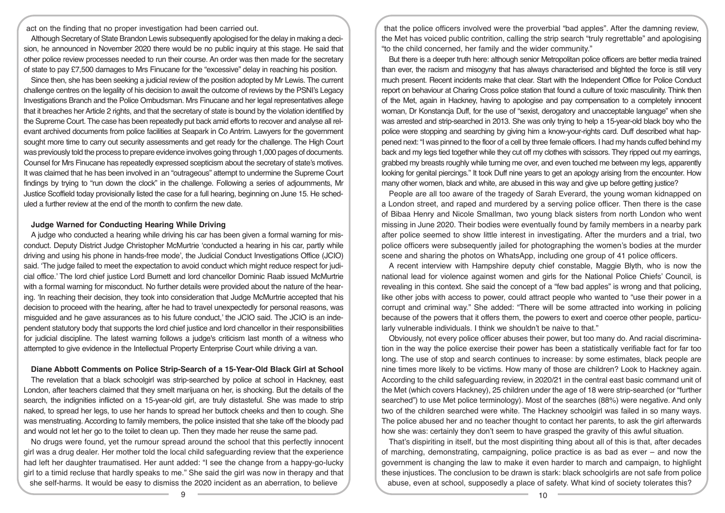act on the finding that no proper investigation had been carried out.

Although Secretary of State Brandon Lewis subsequently apologised for the delay in making a decision, he announced in November 2020 there would be no public inquiry at this stage. He said that other police review processes needed to run their course. An order was then made for the secretary of state to pay £7,500 damages to Mrs Finucane for the "excessive" delay in reaching his position.

Since then, she has been seeking a judicial review of the position adopted by Mr Lewis. The current challenge centres on the legality of his decision to await the outcome of reviews by the PSNI's Legacy Investigations Branch and the Police Ombudsman. Mrs Finucane and her legal representatives allege that it breaches her Article 2 rights, and that the secretary of state is bound by the violation identified by the Supreme Court. The case has been repeatedly put back amid efforts to recover and analyse all relevant archived documents from police facilities at Seapark in Co Antrim. Lawyers for the government sought more time to carry out security assessments and get ready for the challenge. The High Court was previously told the process to prepare evidence involves going through 1,000 pages of documents. Counsel for Mrs Finucane has repeatedly expressed scepticism about the secretary of state's motives. It was claimed that he has been involved in an "outrageous" attempt to undermine the Supreme Court findings by trying to "run down the clock" in the challenge. Following a series of adjournments, Mr Justice Scoffield today provisionally listed the case for a full hearing, beginning on June 15. He scheduled a further review at the end of the month to confirm the new date.

# **Judge Warned for Conducting Hearing While Driving**

A judge who conducted a hearing while driving his car has been given a formal warning for misconduct. Deputy District Judge Christopher McMurtrie 'conducted a hearing in his car, partly while driving and using his phone in hands-free mode', the Judicial Conduct Investigations Office (JCIO) said. 'The judge failed to meet the expectation to avoid conduct which might reduce respect for judicial office.' The lord chief justice Lord Burnett and lord chancellor Dominic Raab issued McMurtrie with a formal warning for misconduct. No further details were provided about the nature of the hearing. 'In reaching their decision, they took into consideration that Judge McMurtrie accepted that his decision to proceed with the hearing, after he had to travel unexpectedly for personal reasons, was misguided and he gave assurances as to his future conduct,' the JCIO said. The JCIO is an independent statutory body that supports the lord chief justice and lord chancellor in their responsibilities for judicial discipline. The latest warning follows a judge's criticism last month of a witness who attempted to give evidence in the Intellectual Property Enterprise Court while driving a van.

## **Diane Abbott Comments on Police Strip-Search of a 15-Year-Old Black Girl at School**

The revelation that a black schoolgirl was strip-searched by police at school in Hackney, east London, after teachers claimed that they smelt marijuana on her, is shocking. But the details of the search, the indignities inflicted on a 15-year-old girl, are truly distasteful. She was made to strip naked, to spread her legs, to use her hands to spread her buttock cheeks and then to cough. She was menstruating. According to family members, the police insisted that she take off the bloody pad and would not let her go to the toilet to clean up. Then they made her reuse the same pad.

No drugs were found, yet the rumour spread around the school that this perfectly innocent girl was a drug dealer. Her mother told the local child safeguarding review that the experience had left her daughter traumatised. Her aunt added: "I see the change from a happy-go-lucky girl to a timid recluse that hardly speaks to me." She said the girl was now in therapy and that she self-harms. It would be easy to dismiss the 2020 incident as an aberration, to believe

that the police officers involved were the proverbial "bad apples". After the damning review, the Met has voiced public contrition, calling the strip search "truly regrettable" and apologising "to the child concerned, her family and the wider community."

But there is a deeper truth here: although senior Metropolitan police officers are better media trained than ever, the racism and misogyny that has always characterised and blighted the force is still very much present. Recent incidents make that clear. Start with the Independent Office for Police Conduct report on behaviour at Charing Cross police station that found a culture of toxic masculinity. Think then of the Met, again in Hackney, having to apologise and pay compensation to a completely innocent woman, Dr Konstancja Duff, for the use of "sexist, derogatory and unacceptable language" when she was arrested and strip-searched in 2013. She was only trying to help a 15-year-old black boy who the police were stopping and searching by giving him a know-your-rights card. Duff described what happened next: "I was pinned to the floor of a cell by three female officers. I had my hands cuffed behind my back and my legs tied together while they cut off my clothes with scissors. They ripped out my earrings, grabbed my breasts roughly while turning me over, and even touched me between my legs, apparently looking for genital piercings." It took Duff nine years to get an apology arising from the encounter. How many other women, black and white, are abused in this way and give up before getting justice?

People are all too aware of the tragedy of Sarah Everard, the young woman kidnapped on a London street, and raped and murdered by a serving police officer. Then there is the case of Bibaa Henry and Nicole Smallman, two young black sisters from north London who went missing in June 2020. Their bodies were eventually found by family members in a nearby park after police seemed to show little interest in investigating. After the murders and a trial, two police officers were subsequently jailed for photographing the women's bodies at the murder scene and sharing the photos on WhatsApp, including one group of 41 police officers.

A recent interview with Hampshire deputy chief constable, Maggie Blyth, who is now the national lead for violence against women and girls for the National Police Chiefs' Council, is revealing in this context. She said the concept of a "few bad apples" is wrong and that policing, like other jobs with access to power, could attract people who wanted to "use their power in a corrupt and criminal way." She added: "There will be some attracted into working in policing because of the powers that it offers them, the powers to exert and coerce other people, particularly vulnerable individuals. I think we shouldn't be naive to that."

Obviously, not every police officer abuses their power, but too many do. And racial discrimination in the way the police exercise their power has been a statistically verifiable fact for far too long. The use of stop and search continues to increase: by some estimates, black people are nine times more likely to be victims. How many of those are children? Look to Hackney again. According to the child safeguarding review, in 2020/21 in the central east basic command unit of the Met (which covers Hackney), 25 children under the age of 18 were strip-searched (or "further searched") to use Met police terminology). Most of the searches (88%) were negative. And only two of the children searched were white. The Hackney schoolgirl was failed in so many ways. The police abused her and no teacher thought to contact her parents, to ask the girl afterwards how she was: certainly they don't seem to have grasped the gravity of this awful situation.

That's dispiriting in itself, but the most dispiriting thing about all of this is that, after decades of marching, demonstrating, campaigning, police practice is as bad as ever – and now the government is changing the law to make it even harder to march and campaign, to highlight these injustices. The conclusion to be drawn is stark: black schoolgirls are not safe from police abuse, even at school, supposedly a place of safety. What kind of society tolerates this?